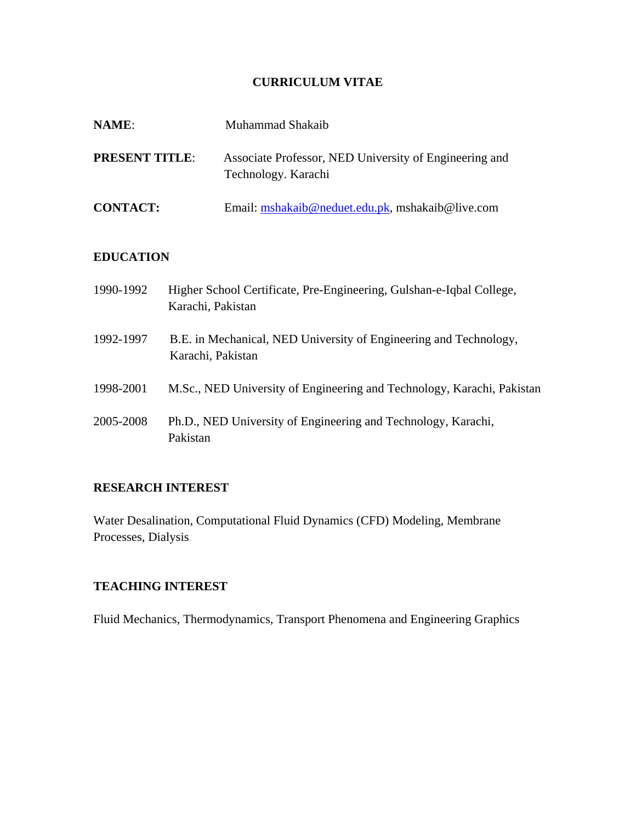# **CURRICULUM VITAE**

| <b>NAME:</b>          | Muhammad Shakaib                                                              |
|-----------------------|-------------------------------------------------------------------------------|
| <b>PRESENT TITLE:</b> | Associate Professor, NED University of Engineering and<br>Technology. Karachi |
| <b>CONTACT:</b>       | Email: mshakaib@neduet.edu.pk, mshakaib@live.com                              |

#### **EDUCATION**

| 1990-1992 | Higher School Certificate, Pre-Engineering, Gulshan-e-Iqbal College,<br>Karachi, Pakistan |
|-----------|-------------------------------------------------------------------------------------------|
| 1992-1997 | B.E. in Mechanical, NED University of Engineering and Technology,<br>Karachi, Pakistan    |
| 1998-2001 | M.Sc., NED University of Engineering and Technology, Karachi, Pakistan                    |
| 2005-2008 | Ph.D., NED University of Engineering and Technology, Karachi,<br>Pakistan                 |

# **RESEARCH INTEREST**

Water Desalination, Computational Fluid Dynamics (CFD) Modeling, Membrane Processes, Dialysis

### **TEACHING INTEREST**

Fluid Mechanics, Thermodynamics, Transport Phenomena and Engineering Graphics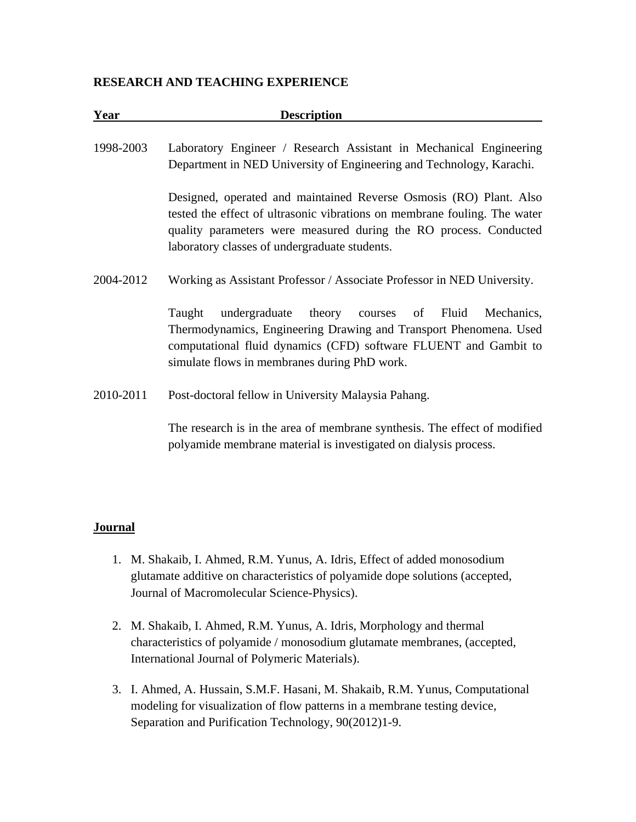#### **RESEARCH AND TEACHING EXPERIENCE**

| Year      | <b>Description</b>                                                                                                                                                                                                                                                    |
|-----------|-----------------------------------------------------------------------------------------------------------------------------------------------------------------------------------------------------------------------------------------------------------------------|
| 1998-2003 | Laboratory Engineer / Research Assistant in Mechanical Engineering<br>Department in NED University of Engineering and Technology, Karachi.                                                                                                                            |
|           | Designed, operated and maintained Reverse Osmosis (RO) Plant. Also<br>tested the effect of ultrasonic vibrations on membrane fouling. The water<br>quality parameters were measured during the RO process. Conducted<br>laboratory classes of undergraduate students. |
| 2004-2012 | Working as Assistant Professor / Associate Professor in NED University.                                                                                                                                                                                               |
|           | undergraduate theory courses of<br>Taught<br>Fluid<br>Mechanics,<br>Thermodynamics, Engineering Drawing and Transport Phenomena. Used<br>computational fluid dynamics (CFD) software FLUENT and Gambit to<br>simulate flows in membranes during PhD work.             |
| 2010-2011 | Post-doctoral fellow in University Malaysia Pahang.                                                                                                                                                                                                                   |
|           | The research is in the area of membrane synthesis. The effect of modified<br>polyamide membrane material is investigated on dialysis process.                                                                                                                         |

#### **Journal**

- 1. M. Shakaib, I. Ahmed, R.M. Yunus, A. Idris, Effect of added monosodium glutamate additive on characteristics of polyamide dope solutions (accepted, Journal of Macromolecular Science-Physics).
- 2. M. Shakaib, I. Ahmed, R.M. Yunus, A. Idris, Morphology and thermal characteristics of polyamide / monosodium glutamate membranes, (accepted, International Journal of Polymeric Materials).
- 3. I. Ahmed, A. Hussain, S.M.F. Hasani, M. Shakaib, R.M. Yunus, Computational modeling for visualization of flow patterns in a membrane testing device, Separation and Purification Technology, 90(2012)1-9.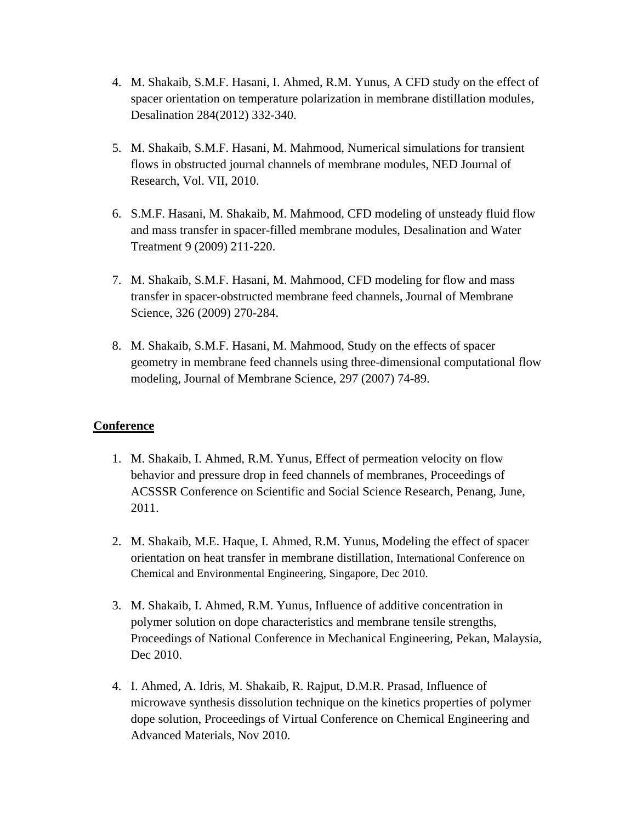- 4. M. Shakaib, S.M.F. Hasani, I. Ahmed, R.M. Yunus, A CFD study on the effect of spacer orientation on temperature polarization in membrane distillation modules, Desalination 284(2012) 332-340.
- 5. M. Shakaib, S.M.F. Hasani, M. Mahmood, Numerical simulations for transient flows in obstructed journal channels of membrane modules, NED Journal of Research, Vol. VII, 2010.
- 6. S.M.F. Hasani, M. Shakaib, M. Mahmood, CFD modeling of unsteady fluid flow and mass transfer in spacer-filled membrane modules, Desalination and Water Treatment 9 (2009) 211-220.
- 7. M. Shakaib, S.M.F. Hasani, M. Mahmood, CFD modeling for flow and mass transfer in spacer-obstructed membrane feed channels, Journal of Membrane Science, 326 (2009) 270-284.
- 8. M. Shakaib, S.M.F. Hasani, M. Mahmood, Study on the effects of spacer geometry in membrane feed channels using three-dimensional computational flow modeling, Journal of Membrane Science, 297 (2007) 74-89.

### **Conference**

- 1. M. Shakaib, I. Ahmed, R.M. Yunus, Effect of permeation velocity on flow behavior and pressure drop in feed channels of membranes, Proceedings of ACSSSR Conference on Scientific and Social Science Research, Penang, June, 2011.
- 2. M. Shakaib, M.E. Haque, I. Ahmed, R.M. Yunus, Modeling the effect of spacer orientation on heat transfer in membrane distillation, International Conference on Chemical and Environmental Engineering, Singapore, Dec 2010.
- 3. M. Shakaib, I. Ahmed, R.M. Yunus, Influence of additive concentration in polymer solution on dope characteristics and membrane tensile strengths, Proceedings of National Conference in Mechanical Engineering, Pekan, Malaysia, Dec 2010.
- 4. I. Ahmed, A. Idris, M. Shakaib, R. Rajput, D.M.R. Prasad, Influence of microwave synthesis dissolution technique on the kinetics properties of polymer dope solution, Proceedings of Virtual Conference on Chemical Engineering and Advanced Materials, Nov 2010.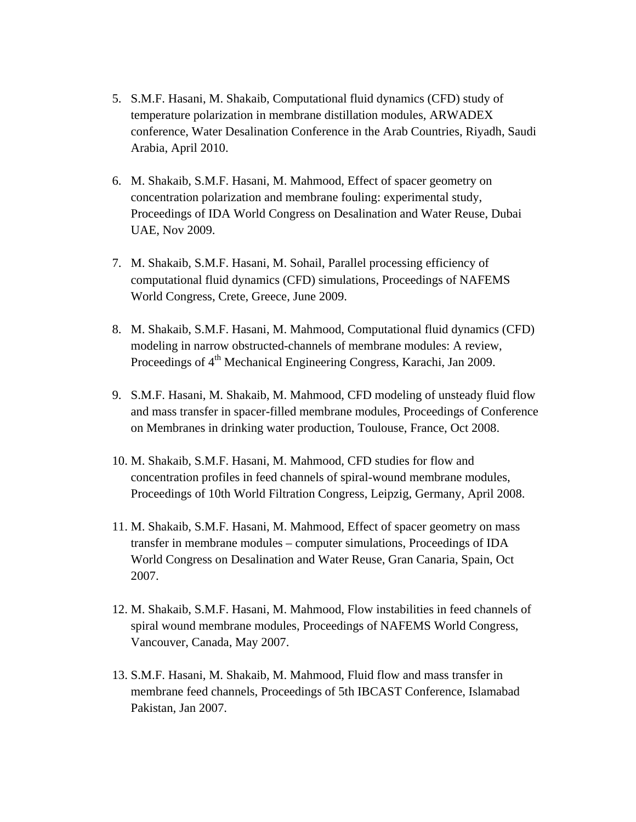- 5. S.M.F. Hasani, M. Shakaib, Computational fluid dynamics (CFD) study of temperature polarization in membrane distillation modules, ARWADEX conference, Water Desalination Conference in the Arab Countries, Riyadh, Saudi Arabia, April 2010.
- 6. M. Shakaib, S.M.F. Hasani, M. Mahmood, Effect of spacer geometry on concentration polarization and membrane fouling: experimental study, Proceedings of IDA World Congress on Desalination and Water Reuse, Dubai UAE, Nov 2009.
- 7. M. Shakaib, S.M.F. Hasani, M. Sohail, Parallel processing efficiency of computational fluid dynamics (CFD) simulations, Proceedings of NAFEMS World Congress, Crete, Greece, June 2009.
- 8. M. Shakaib, S.M.F. Hasani, M. Mahmood, Computational fluid dynamics (CFD) modeling in narrow obstructed-channels of membrane modules: A review, Proceedings of 4<sup>th</sup> Mechanical Engineering Congress, Karachi, Jan 2009.
- 9. S.M.F. Hasani, M. Shakaib, M. Mahmood, CFD modeling of unsteady fluid flow and mass transfer in spacer-filled membrane modules, Proceedings of Conference on Membranes in drinking water production, Toulouse, France, Oct 2008.
- 10. M. Shakaib, S.M.F. Hasani, M. Mahmood, CFD studies for flow and concentration profiles in feed channels of spiral-wound membrane modules, Proceedings of 10th World Filtration Congress, Leipzig, Germany, April 2008.
- 11. M. Shakaib, S.M.F. Hasani, M. Mahmood, Effect of spacer geometry on mass transfer in membrane modules – computer simulations, Proceedings of IDA World Congress on Desalination and Water Reuse, Gran Canaria, Spain, Oct 2007.
- 12. M. Shakaib, S.M.F. Hasani, M. Mahmood, Flow instabilities in feed channels of spiral wound membrane modules, Proceedings of NAFEMS World Congress, Vancouver, Canada, May 2007.
- 13. S.M.F. Hasani, M. Shakaib, M. Mahmood, Fluid flow and mass transfer in membrane feed channels, Proceedings of 5th IBCAST Conference, Islamabad Pakistan, Jan 2007.